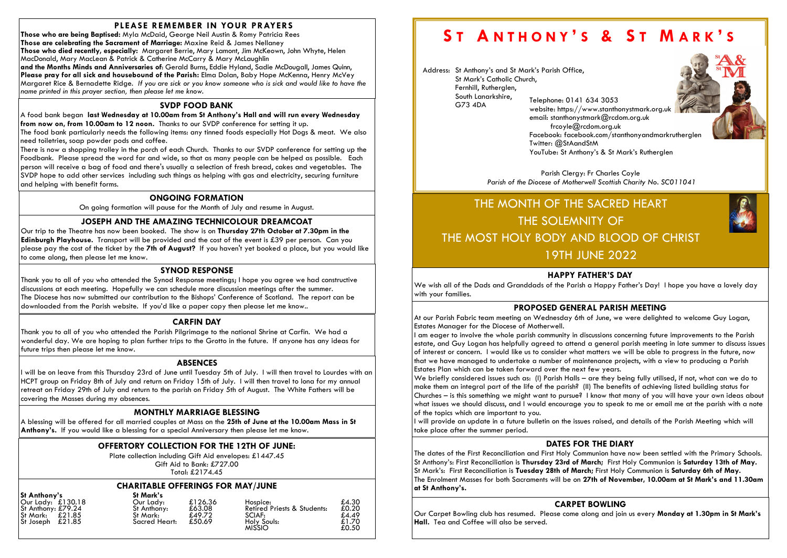# PLEASE REMEMBER IN YOUR PRAYERS

Those who are being Baptised: Myla McDaid, George Neil Austin & Romy Patricia Rees Those are celebrating the Sacrament of Marriage: Maxine Reid & James Nellaney Those who died recently, especially: Margaret Berrie, Mary Lamont, Jim McKeown, John Whyte, Helen MacDonald, Mary MacLean & Patrick & Catherine McCarry & Mary McLaughlin

and the Months Minds and Anniversaries of: Gerald Burns, Eddie Hyland, Sadie McDougall, James Quinn, Please pray for all sick and housebound of the Parish: Elma Dolan, Baby Hope McKenna, Henry McVey Margaret Rice & Bernadette Ridge. If you are sick or you know someone who is sick and would like to have the name printed in this prayer section, then please let me know.

#### OFFERTORY COLLECTION FOR THE 12TH OF JUNE:

Plate collection including Gift Aid envelopes: £1447.45 Gift Aid to Bank: £727.00

Total: £2174.45

## ONGOING FORMATION

On going formation will pause for the Month of July and resume in August.

### JOSEPH AND THE AMAZING TECHNICOLOUR DREAMCOAT

Our trip to the Theatre has now been booked. The show is on Thursday 27th October at 7.30pm in the Edinburgh Playhouse. Transport will be provided and the cost of the event is £39 per person. Can you please pay the cost of the ticket by the 7th of August? If you haven't yet booked a place, but you would like to come along, then please let me know.

# SVDP FOOD BANK

A food bank began last Wednesday at 10.00am from St Anthony's Hall and will run every Wednesday from now on, from 10.00am to 12 noon. Thanks to our SVDP conference for setting it up.

The food bank particularly needs the following items: any tinned foods especially Hot Dogs & meat. We also need toiletries, soap powder pods and coffee.

> Parish Clergy: Fr Charles Coyle Parish of the Diocese of Motherwell Scottish Charity No. SC011041

There is now a shopping trolley in the porch of each Church. Thanks to our SVDP conference for setting up the Foodbank. Please spread the word far and wide, so that as many people can be helped as possible. Each person will receive a bag of food and there's usually a selection of fresh bread, cakes and vegetables. The SVDP hope to add other services including such things as helping with gas and electricity, securing furniture and helping with benefit forms.

#### MONTHLY MARRIAGE BLESSING

A blessing will be offered for all married couples at Mass on the 25th of June at the 10.00am Mass in St Anthony's. If you would like a blessing for a special Anniversary then please let me know.

#### ABSENCES

I will be on leave from this Thursday 23rd of June until Tuesday 5th of July. I will then travel to Lourdes with an HCPT group on Friday 8th of July and return on Friday 15th of July. I will then travel to Iona for my annual retreat on Friday 29th of July and return to the parish on Friday 5th of August. The White Fathers will be covering the Masses during my absences.

#### CARFIN DAY

Thank you to all of you who attended the Parish Pilgrimage to the national Shrine at Carfin. We had a wonderful day. We are hoping to plan further trips to the Grotto in the future. If anyone has any ideas for future trips then please let me know.

#### SYNOD RESPONSE

Thank you to all of you who attended the Synod Response meetings; I hope you agree we had constructive discussions at each meeting. Hopefully we can schedule more discussion meetings after the summer. The Diocese has now submitted our contribution to the Bishops' Conference of Scotland. The report can be downloaded from the Parish website. If you'd like a paper copy then please let me know..

#### CHARITABLE OFFERINGS FOR MAY/JUNE

St Anthony's St Mark's<br>
Our Lady: £130.18 Our Lady: St Joseph  $\overline{x}21.85$  Sacred Heart:  $\overline{x}50.69$  Holy Holy

| <u>ULLANINUITY J</u>                    | YI INNIN J               |                   |                                                    |                |
|-----------------------------------------|--------------------------|-------------------|----------------------------------------------------|----------------|
| Our Lady: £130.18<br>St Anthony: £79.24 | Our Lady:<br>St Anthony: | £126.36<br>£63.08 | Hospice:<br><b>Retired Priests &amp; Students:</b> | £4.30<br>£0.20 |
|                                         |                          |                   |                                                    |                |
| St Mark: £21.85                         | St Mark:                 | £49.72            | SCIAF:                                             | £4.49          |
| St Joseph $£21.85$                      | Sacred Heart:            | £50.69            | Holy Souls:                                        | £1.70          |
|                                         |                          |                   | <b>MISSIO</b>                                      | £0.50          |
|                                         |                          |                   |                                                    |                |

# ST ANTHONY'S & ST MARK'S

Address: St Anthony's and St Mark's Parish Office, St Mark's Catholic Church, Fernhill, Rutherglen, South Lanarkshire, G73 4DA Telephone: 0141 634 3053

website: https://www.stanthonystmark.org.uk Facebook: facebook.com/stanthonyandmarkrutherglen



email: stanthonystmark@rcdom.org.uk frcoyle@rcdom.org.uk Twitter: @StAandStM YouTube: St Anthony's & St Mark's Rutherglen

# THE MONTH OF THE SACRED HEART THE SOLEMNITY OF THE MOST HOLY BODY AND BLOOD OF CHRIST 19TH JUNE 2022

#### HAPPY FATHER'S DAY

We wish all of the Dads and Granddads of the Parish a Happy Father's Day! I hope you have a lovely day with your families.

#### DATES FOR THE DIARY

The dates of the First Reconciliation and First Holy Communion have now been settled with the Primary Schools. St Anthony's: First Reconciliation is Thursday 23rd of March; First Holy Communion is Saturday 13th of May. St Mark's: First Reconciliation is Tuesday 28th of March; First Holy Communion is Saturday 6th of May. The Enrolment Masses for both Sacraments will be on 27th of November, 10.00am at St Mark's and 11.30am at St Anthony's.

# CARPET BOWLING

Our Carpet Bowling club has resumed. Please come along and join us every Monday at 1.30pm in St Mark's Hall. Tea and Coffee will also be served.



# PROPOSED GENERAL PARISH MEETING

At our Parish Fabric team meeting on Wednesday 6th of June, we were delighted to welcome Guy Logan, Estates Manager for the Diocese of Motherwell.

I am eager to involve the whole parish community in discussions concerning future improvements to the Parish estate, and Guy Logan has helpfully agreed to attend a general parish meeting in late summer to discuss issues of interest or concern. I would like us to consider what matters we will be able to progress in the future, now that we have managed to undertake a number of maintenance projects, with a view to producing a Parish Estates Plan which can be taken forward over the next few years. We briefly considered issues such as: (I) Parish Halls – are they being fully utilised, if not, what can we do to make them an integral part of the life of the parish? (II) The benefits of achieving listed building status for Churches – is this something we might want to pursue? I know that many of you will have your own ideas about what issues we should discuss, and I would encourage you to speak to me or email me at the parish with a note of the topics which are important to you.

I will provide an update in a future bulletin on the issues raised, and details of the Parish Meeting which will take place after the summer period.